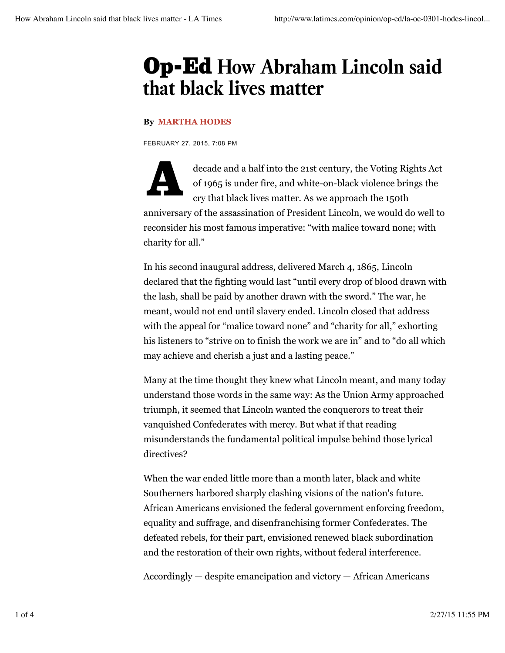## Op-Ed **How Abraham Lincoln said that black lives matter**

## **By MARTHA HODES**

FEBRUARY 27, 2015, 7:08 PM

decade and a half into the 21st century, the Voting Rights Act of 1965 is under fire, and white-on-black violence brings the cry that black lives matter. As we approach the 150th of 1965 is under fire, and white-on-black violence brings the cry that black lives matter. As we approach the 150th anniversary of the assassination of President Lincoln, we would do well to reconsider his most famous imperative: "with malice toward none; with charity for all."

In his second inaugural address, delivered March 4, 1865, Lincoln declared that the fighting would last "until every drop of blood drawn with the lash, shall be paid by another drawn with the sword." The war, he meant, would not end until slavery ended. Lincoln closed that address with the appeal for "malice toward none" and "charity for all," exhorting his listeners to "strive on to finish the work we are in" and to "do all which may achieve and cherish a just and a lasting peace."

Many at the time thought they knew what Lincoln meant, and many today understand those words in the same way: As the Union Army approached triumph, it seemed that Lincoln wanted the conquerors to treat their vanquished Confederates with mercy. But what if that reading misunderstands the fundamental political impulse behind those lyrical directives?

When the war ended little more than a month later, black and white Southerners harbored sharply clashing visions of the nation's future. African Americans envisioned the federal government enforcing freedom, equality and suffrage, and disenfranchising former Confederates. The defeated rebels, for their part, envisioned renewed black subordination and the restoration of their own rights, without federal interference.

Accordingly — despite emancipation and victory — African Americans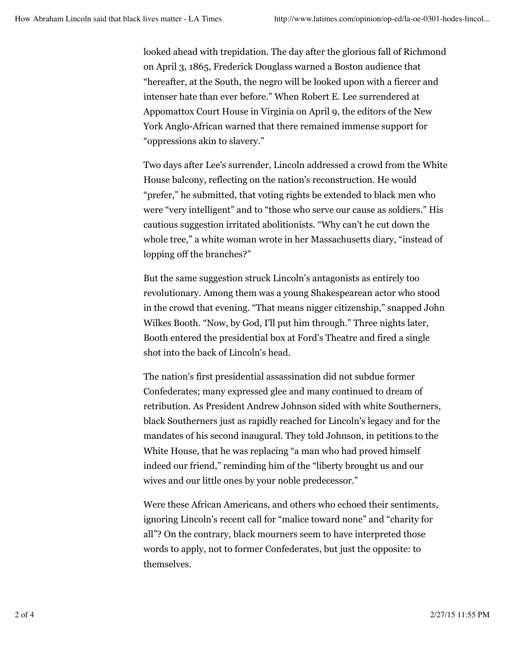looked ahead with trepidation. The day after the glorious fall of Richmond on April 3, 1865, Frederick Douglass warned a Boston audience that "hereafter, at the South, the negro will be looked upon with a fiercer and intenser hate than ever before." When Robert E. Lee surrendered at Appomattox Court House in Virginia on April 9, the editors of the New York Anglo-African warned that there remained immense support for "oppressions akin to slavery."

Two days after Lee's surrender, Lincoln addressed a crowd from the White House balcony, reflecting on the nation's reconstruction. He would "prefer," he submitted, that voting rights be extended to black men who were "very intelligent" and to "those who serve our cause as soldiers." His cautious suggestion irritated abolitionists. "Why can't he cut down the whole tree," a white woman wrote in her Massachusetts diary, "instead of lopping off the branches?"

But the same suggestion struck Lincoln's antagonists as entirely too revolutionary. Among them was a young Shakespearean actor who stood in the crowd that evening. "That means nigger citizenship," snapped John Wilkes Booth. "Now, by God, I'll put him through." Three nights later, Booth entered the presidential box at Ford's Theatre and fired a single shot into the back of Lincoln's head.

The nation's first presidential assassination did not subdue former Confederates; many expressed glee and many continued to dream of retribution. As President Andrew Johnson sided with white Southerners, black Southerners just as rapidly reached for Lincoln's legacy and for the mandates of his second inaugural. They told Johnson, in petitions to the White House, that he was replacing "a man who had proved himself indeed our friend," reminding him of the "liberty brought us and our wives and our little ones by your noble predecessor."

Were these African Americans, and others who echoed their sentiments, ignoring Lincoln's recent call for "malice toward none" and "charity for all"? On the contrary, black mourners seem to have interpreted those words to apply, not to former Confederates, but just the opposite: to themselves.